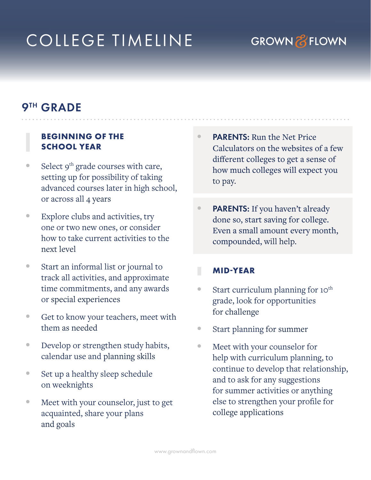# COLLEGE TIMELINE

## **GROWN & FLOWN**

## 9TH GRADE

#### **BEGINNING OF THE SCHOOL YEAR**

- Select  $9<sup>th</sup>$  grade courses with care, setting up for possibility of taking advanced courses later in high school, or across all 4 years
- Explore clubs and activities, try one or two new ones, or consider how to take current activities to the next level
- Start an informal list or journal to track all activities, and approximate time commitments, and any awards or special experiences
- Get to know your teachers, meet with them as needed
- Develop or strengthen study habits, calendar use and planning skills
- Set up a healthy sleep schedule on weeknights
- Meet with your counselor, just to get acquainted, share your plans and goals
- PARENTS: Run the Net Price Calculators on the websites of a few different colleges to get a sense of how much colleges will expect you to pay.
- PARENTS: If you haven't already done so, start saving for college. Even a small amount every month, compounded, will help.

#### **MIDYEAR**

- Start curriculum planning for 10<sup>th</sup> grade, look for opportunities for challenge
- Start planning for summer
- Meet with your counselor for help with curriculum planning, to continue to develop that relationship, and to ask for any suggestions for summer activities or anything else to strengthen your profile for college applications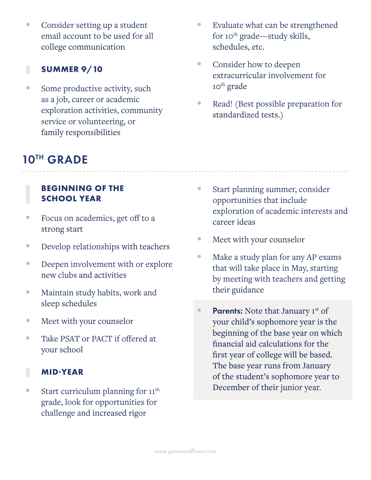• Consider setting up a student email account to be used for all college communication

#### **SUMMER 9/10**

П

• Some productive activity, such as a job, career or academic exploration activities, community service or volunteering, or family responsibilities

## 10TH GRADE

#### **BEGINNING OF THE SCHOOL YEAR**

- Focus on academics, get off to a strong start
- Develop relationships with teachers
- Deepen involvement with or explore new clubs and activities
- Maintain study habits, work and sleep schedules
- Meet with your counselor
- Take PSAT or PACT if offered at your school

#### **MIDYEAR**

• Start curriculum planning for  $11^{\text{th}}$ grade, look for opportunities for challenge and increased rigor

- Evaluate what can be strengthened for 10<sup>th</sup> grade—study skills, schedules, etc.
- Consider how to deepen extracurricular involvement for 10<sup>th</sup> grade
- Read! (Best possible preparation for standardized tests.)

- Start planning summer, consider opportunities that include exploration of academic interests and career ideas
- Meet with your counselor
- Make a study plan for any AP exams that will take place in May, starting by meeting with teachers and getting their guidance
- Parents: Note that January 1st of your child's sophomore year is the beginning of the base year on which financial aid calculations for the first year of college will be based. The base year runs from January of the student's sophomore year to December of their junior year.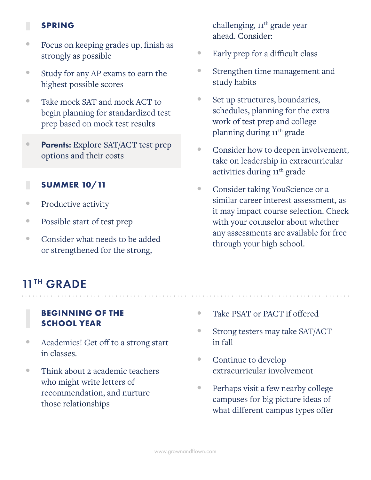### **SPRING**

- Focus on keeping grades up, finish as strongly as possible
- Study for any AP exams to earn the highest possible scores
- Take mock SAT and mock ACT to begin planning for standardized test prep based on mock test results
- Parents: Explore SAT/ACT test prep options and their costs

#### Г **SUMMER 10/11**

- Productive activity
- Possible start of test prep
- Consider what needs to be added or strengthened for the strong,

## 11<sup>TH</sup> GRADE

### **BEGINNING OF THE SCHOOL YEAR**

- Academics! Get off to a strong start in classes.
- Think about 2 academic teachers who might write letters of recommendation, and nurture those relationships

challenging, 11<sup>th</sup> grade year ahead. Consider:

- Early prep for a difficult class
- Strengthen time management and study habits
- Set up structures, boundaries, schedules, planning for the extra work of test prep and college planning during 11<sup>th</sup> grade
- Consider how to deepen involvement, take on leadership in extracurricular activities during 11<sup>th</sup> grade
- Consider taking YouScience or a similar career interest assessment, as it may impact course selection. Check with your counselor about whether any assessments are available for free through your high school.

. . . . . . . . . . . . . . . .

- Take PSAT or PACT if offered
- Strong testers may take SAT/ACT in fall
- Continue to develop extracurricular involvement
- Perhaps visit a few nearby college campuses for big picture ideas of what different campus types offer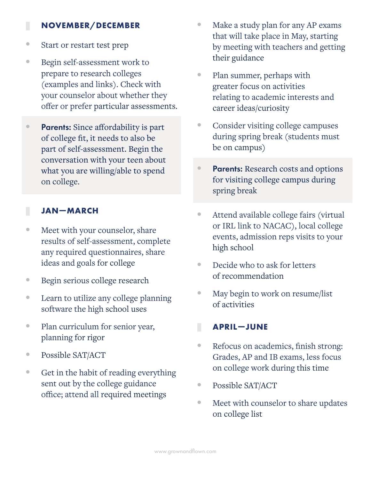#### **NOVEMBER/DECEMBER**

- Start or restart test prep
- Begin self-assessment work to prepare to research colleges (examples and links). Check with your counselor about whether they offer or prefer particular assessments.
- Parents: Since affordability is part of college fit, it needs to also be part of self-assessment. Begin the conversation with your teen about what you are willing/able to spend on college.

### **JANMARCH**

Γ

- Meet with your counselor, share results of self-assessment, complete any required questionnaires, share ideas and goals for college
- Begin serious college research
- Learn to utilize any college planning software the high school uses
- Plan curriculum for senior year, planning for rigor
- Possible SAT/ACT
- Get in the habit of reading everything sent out by the college guidance office; attend all required meetings
- Make a study plan for any AP exams that will take place in May, starting by meeting with teachers and getting their guidance
- Plan summer, perhaps with greater focus on activities relating to academic interests and career ideas/curiosity
- Consider visiting college campuses during spring break (students must be on campus)
- Parents: Research costs and options for visiting college campus during spring break
- Attend available college fairs (virtual or IRL link to NACAC), local college events, admission reps visits to your high school
- Decide who to ask for letters of recommendation
- May begin to work on resume/list of activities

#### **APRILJUNE**

- Refocus on academics, finish strong: Grades, AP and IB exams, less focus on college work during this time
- Possible SAT/ACT
- Meet with counselor to share updates on college list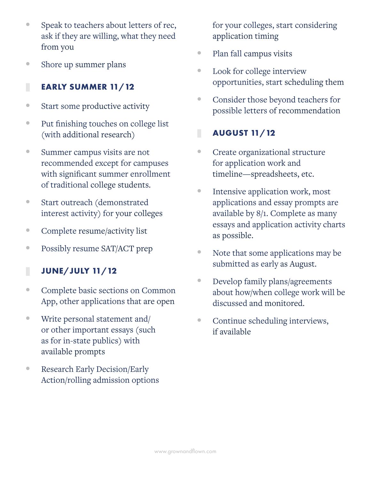- Speak to teachers about letters of rec, ask if they are willing, what they need from you
- Shore up summer plans

#### Г **EARLY SUMMER 11/12**

- Start some productive activity
- Put finishing touches on college list (with additional research)
- Summer campus visits are not recommended except for campuses with significant summer enrollment of traditional college students.
- Start outreach (demonstrated interest activity) for your colleges
- Complete resume/activity list
- Possibly resume SAT/ACT prep

### **JUNE/JULY 11/12**

- Complete basic sections on Common App, other applications that are open
- Write personal statement and/ or other important essays (such as for in-state publics) with available prompts
- Research Early Decision/Early Action/rolling admission options

for your colleges, start considering application timing

- Plan fall campus visits
- Look for college interview opportunities, start scheduling them
- Consider those beyond teachers for possible letters of recommendation

#### П **AUGUST 11/12**

- Create organizational structure for application work and timeline—spreadsheets, etc.
- Intensive application work, most applications and essay prompts are available by 8/1. Complete as many essays and application activity charts as possible.
- Note that some applications may be submitted as early as August.
- Develop family plans/agreements about how/when college work will be discussed and monitored.
- Continue scheduling interviews, if available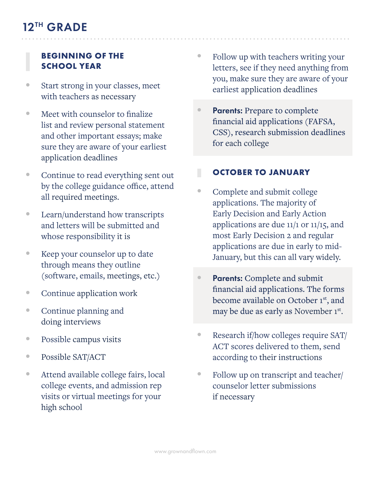### **BEGINNING OF THE SCHOOL YEAR**

- Start strong in your classes, meet with teachers as necessary
- Meet with counselor to finalize list and review personal statement and other important essays; make sure they are aware of your earliest application deadlines
- Continue to read everything sent out by the college guidance office, attend all required meetings.
- Learn/understand how transcripts and letters will be submitted and whose responsibility it is
- Keep your counselor up to date through means they outline (software, emails, meetings, etc.)
- Continue application work
- Continue planning and doing interviews
- Possible campus visits
- Possible SAT/ACT
- Attend available college fairs, local college events, and admission rep visits or virtual meetings for your high school
- Follow up with teachers writing your letters, see if they need anything from you, make sure they are aware of your earliest application deadlines
- Parents: Prepare to complete financial aid applications (FAFSA, CSS), research submission deadlines for each college

#### П **OCTOBER TO JANUARY**

- Complete and submit college applications. The majority of Early Decision and Early Action applications are due 11/1 or 11/15, and most Early Decision 2 and regular applications are due in early to mid-January, but this can all vary widely.
- Parents: Complete and submit financial aid applications. The forms become available on October 1<sup>st</sup>, and may be due as early as November 1st.
- Research if/how colleges require SAT/ ACT scores delivered to them, send according to their instructions
- Follow up on transcript and teacher/ counselor letter submissions if necessary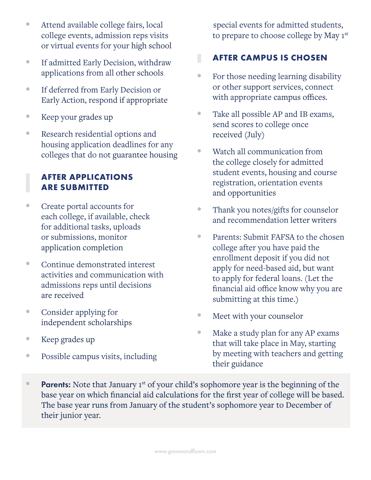- Attend available college fairs, local college events, admission reps visits or virtual events for your high school
- If admitted Early Decision, withdraw applications from all other schools
- If deferred from Early Decision or Early Action, respond if appropriate
- Keep your grades up
- Research residential options and housing application deadlines for any colleges that do not guarantee housing

### **AFTER APPLICATIONS ARE SUBMITTED**

- Create portal accounts for each college, if available, check for additional tasks, uploads or submissions, monitor application completion
- Continue demonstrated interest activities and communication with admissions reps until decisions are received
- Consider applying for independent scholarships
- Keep grades up
- Possible campus visits, including

special events for admitted students, to prepare to choose college by May 1st

#### П **AFTER CAMPUS IS CHOSEN**

- For those needing learning disability or other support services, connect with appropriate campus offices.
- Take all possible AP and IB exams, send scores to college once received (July)
- Watch all communication from the college closely for admitted student events, housing and course registration, orientation events and opportunities
- Thank you notes/gifts for counselor and recommendation letter writers
- Parents: Submit FAFSA to the chosen college after you have paid the enrollment deposit if you did not apply for need-based aid, but want to apply for federal loans. (Let the financial aid office know why you are submitting at this time.)
- Meet with your counselor
- Make a study plan for any AP exams that will take place in May, starting by meeting with teachers and getting their guidance
- Parents: Note that January  $1^{st}$  of your child's sophomore year is the beginning of the base year on which financial aid calculations for the first year of college will be based. The base year runs from January of the student's sophomore year to December of their junior year.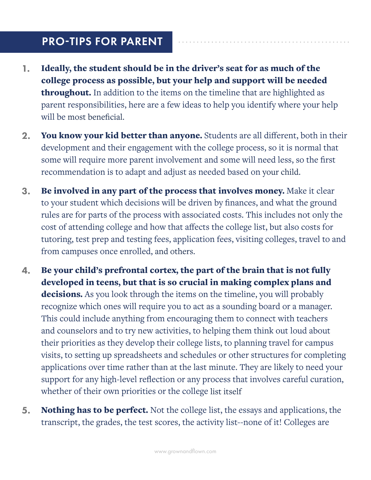## PRO-TIPS FOR PARENT

- 1. Ideally, the student should be in the driver's seat for as much of the college process as possible, but your help and support will be needed throughout. In addition to the items on the timeline that are highlighted as parent responsibilities, here are a few ideas to help you identify where your help will be most beneficial.
- 2. You know your kid better than anyone. Students are all different, both in their development and their engagement with the college process, so it is normal that some will require more parent involvement and some will need less, so the first recommendation is to adapt and adjust as needed based on your child.
- 3. Be involved in any part of the process that involves money. Make it clear to your student which decisions will be driven by finances, and what the ground rules are for parts of the process with associated costs. This includes not only the cost of attending college and how that affects the college list, but also costs for tutoring, test prep and testing fees, application fees, visiting colleges, travel to and from campuses once enrolled, and others.
- 4. Be your child's prefrontal cortex, the part of the brain that is not fully developed in teens, but that is so crucial in making complex plans and decisions. As you look through the items on the timeline, you will probably recognize which ones will require you to act as a sounding board or a manager. This could include anything from encouraging them to connect with teachers and counselors and to try new activities, to helping them think out loud about their priorities as they develop their college lists, to planning travel for campus visits, to setting up spreadsheets and schedules or other structures for completing applications over time rather than at the last minute. They are likely to need your support for any high-level reflection or any process that involves careful curation, whether of their own priorities or the college list itself
- **5.** Nothing has to be perfect. Not the college list, the essays and applications, the transcript, the grades, the test scores, the activity list--none of it! Colleges are